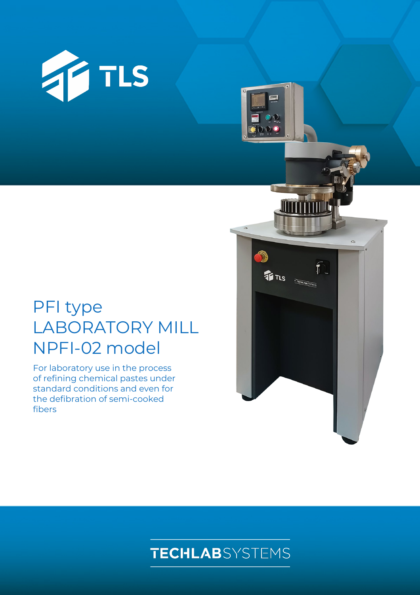

# PFI type LABORATORY MILL NPFI-02 model

For laboratory use in the process of refining chemical pastes under standard conditions and even for the defibration of semi-cooked fibers





TLS **TROUADSTERS** 

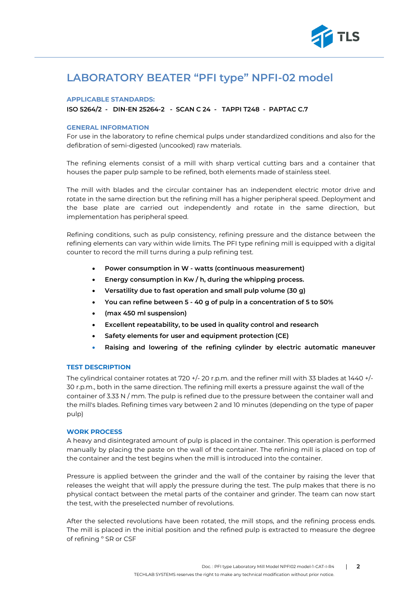

## **LABORATORY BEATER "PFI type" NPFI-02 model**

#### **APPLICABLE STANDARDS:**

**ISO 5264/2 - DIN-EN 25264-2 - SCAN C 24 - TAPPI T248 - PAPTAC C.7**

#### **GENERAL INFORMATION**

For use in the laboratory to refine chemical pulps under standardized conditions and also for the defibration of semi-digested (uncooked) raw materials.

The refining elements consist of a mill with sharp vertical cutting bars and a container that houses the paper pulp sample to be refined, both elements made of stainless steel.

The mill with blades and the circular container has an independent electric motor drive and rotate in the same direction but the refining mill has a higher peripheral speed. Deployment and the base plate are carried out independently and rotate in the same direction, but implementation has peripheral speed.

Refining conditions, such as pulp consistency, refining pressure and the distance between the refining elements can vary within wide limits. The PFI type refining mill is equipped with a digital counter to record the mill turns during a pulp refining test.

- **Power consumption in W - watts (continuous measurement)**
- **Energy consumption in Kw / h, during the whipping process.**
- **Versatility due to fast operation and small pulp volume (30 g)**
- **You can refine between 5 - 40 g of pulp in a concentration of 5 to 50%**
- **(max 450 ml suspension)**
- **Excellent repeatability, to be used in quality control and research**
- **Safety elements for user and equipment protection (CE)**
- **Raising and lowering of the refining cylinder by electric automatic maneuver**

#### **TEST DESCRIPTION**

The cylindrical container rotates at 720 +/- 20 r.p.m. and the refiner mill with 33 blades at 1440 +/-30 r.p.m., both in the same direction. The refining mill exerts a pressure against the wall of the container of 3.33 N / mm. The pulp is refined due to the pressure between the container wall and the mill's blades. Refining times vary between 2 and 10 minutes (depending on the type of paper pulp)

#### **WORK PROCESS**

A heavy and disintegrated amount of pulp is placed in the container. This operation is performed manually by placing the paste on the wall of the container. The refining mill is placed on top of the container and the test begins when the mill is introduced into the container.

Pressure is applied between the grinder and the wall of the container by raising the lever that releases the weight that will apply the pressure during the test. The pulp makes that there is no physical contact between the metal parts of the container and grinder. The team can now start the test, with the preselected number of revolutions.

After the selected revolutions have been rotated, the mill stops, and the refining process ends. The mill is placed in the initial position and the refined pulp is extracted to measure the degree of refining º SR or CSF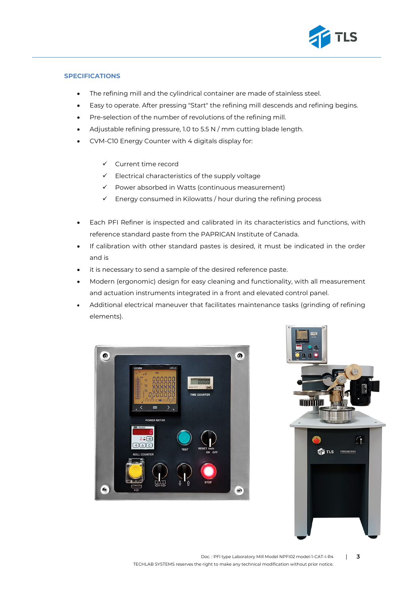

#### **SPECIFICATIONS**

- The refining mill and the cylindrical container are made of stainless steel.
- Easy to operate. After pressing "Start" the refining mill descends and refining begins.
- Pre-selection of the number of revolutions of the refining mill.
- Adjustable refining pressure, 1.0 to 5.5 N / mm cutting blade length.
- CVM-C10 Energy Counter with 4 digitals display for:
	- $\checkmark$  Current time record
	- $\checkmark$  Electrical characteristics of the supply voltage
	- $\checkmark$  Power absorbed in Watts (continuous measurement)
	- $\checkmark$  Energy consumed in Kilowatts / hour during the refining process
- Each PFI Refiner is inspected and calibrated in its characteristics and functions, with reference standard paste from the PAPRICAN Institute of Canada.
- If calibration with other standard pastes is desired, it must be indicated in the order and is
- it is necessary to send a sample of the desired reference paste.
- Modern (ergonomic) design for easy cleaning and functionality, with all measurement and actuation instruments integrated in a front and elevated control panel.
- Additional electrical maneuver that facilitates maintenance tasks (grinding of refining elements).